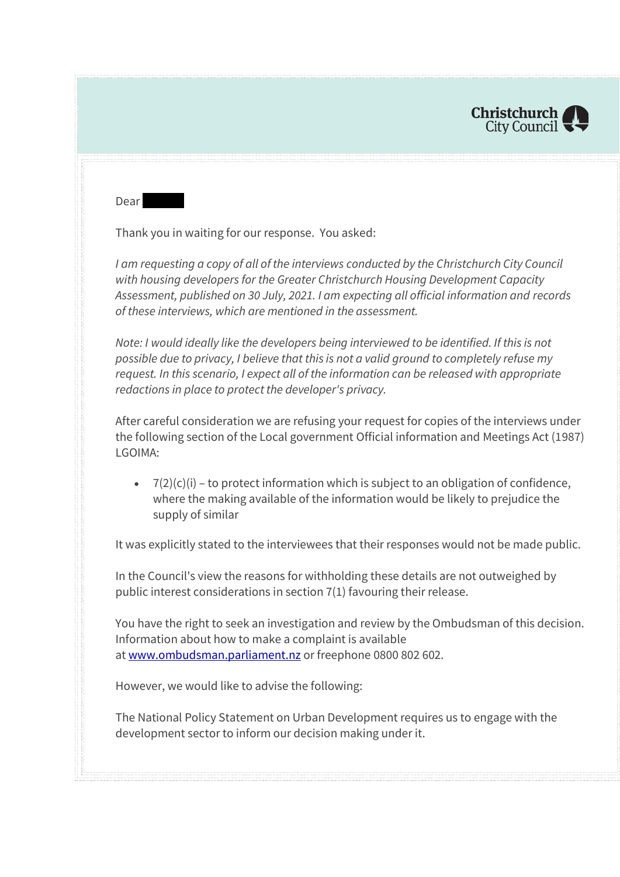

Dear

Thank you in waiting for our response. You asked:

*I am requesting a copy of all of the interviews conducted by the Christchurch City Council with housing developers for the Greater Christchurch Housing Development Capacity Assessment, published on 30 July, 2021. I am expecting all official information and records of these interviews, which are mentioned in the assessment.*

*Note: I would ideally like the developers being interviewed to be identified. If this is not possible due to privacy, I believe that this is not a valid ground to completely refuse my request. In this scenario, I expect all of the information can be released with appropriate redactions in place to protect the developer's privacy.*

After careful consideration we are refusing your request for copies of the interviews under the following section of the Local government Official information and Meetings Act (1987) LGOIMA:

 $\bullet$   $7(2)(c)(i)$  – to protect information which is subject to an obligation of confidence, where the making available of the information would be likely to prejudice the supply of similar

It was explicitly stated to the interviewees that their responses would not be made public.

In the Council's view the reasons for withholding these details are not outweighed by public interest considerations in section 7(1) favouring their release.

You have the right to seek an investigation and review by the Ombudsman of this decision. Information about how to make a complaint is available at [www.ombudsman.parliament.nz](http://www.ombudsman.parliament.nz/) or freephone 0800 802 602.

However, we would like to advise the following:

The National Policy Statement on Urban Development requires us to engage with the development sector to inform our decision making under it.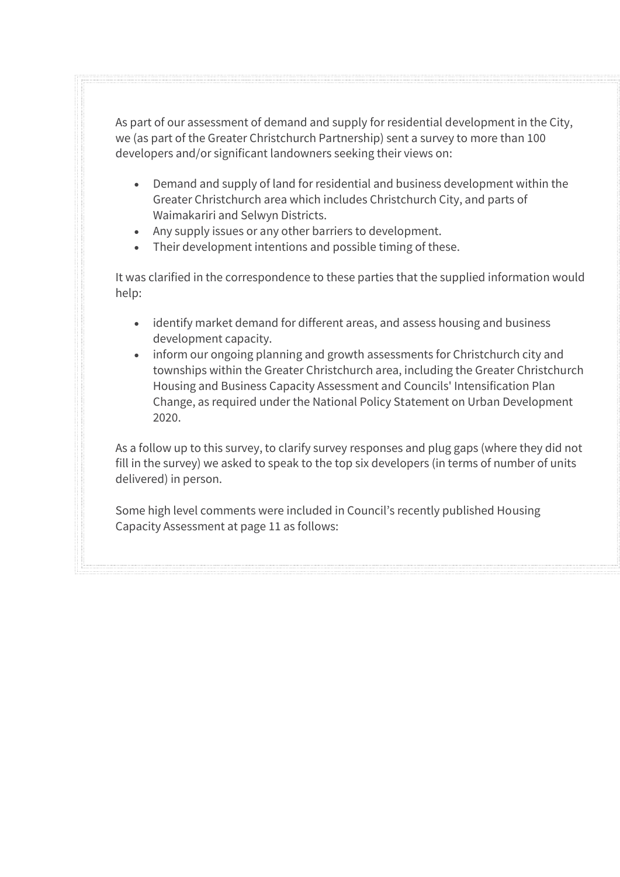As part of our assessment of demand and supply for residential development in the City, we (as part of the Greater Christchurch Partnership) sent a survey to more than 100 developers and/or significant landowners seeking their views on:

- Demand and supply of land for residential and business development within the Greater Christchurch area which includes Christchurch City, and parts of Waimakariri and Selwyn Districts.
- Any supply issues or any other barriers to development.
- Their development intentions and possible timing of these.

It was clarified in the correspondence to these parties that the supplied information would help:

- identify market demand for different areas, and assess housing and business development capacity.
- inform our ongoing planning and growth assessments for Christchurch city and townships within the Greater Christchurch area, including the Greater Christchurch Housing and Business Capacity Assessment and Councils' Intensification Plan Change, as required under the National Policy Statement on Urban Development 2020.

As a follow up to this survey, to clarify survey responses and plug gaps (where they did not fill in the survey) we asked to speak to the top six developers (in terms of number of units delivered) in person.

Some high level comments were included in Council's recently published Housing Capacity Assessment at page 11 as follows: